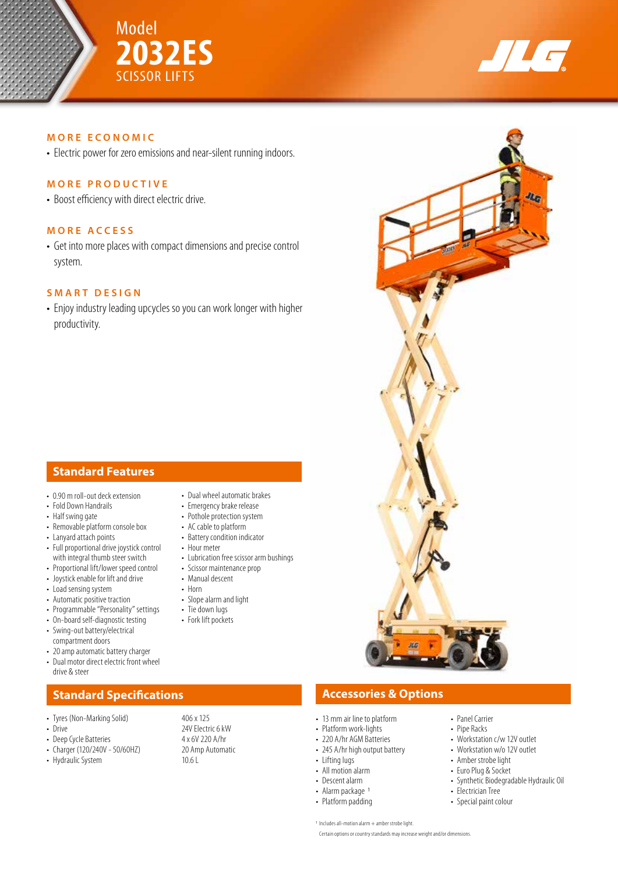



**JAG** 

## **MORE ECONOMIC**

• Electric power for zero emissions and near-silent running indoors.

## **MORE PRODUCTIVE**

• Boost efficiency with direct electric drive.

## **MORE ACCESS**

• Get into more places with compact dimensions and precise control system.

## **SMART DESIGN**

• Enjoy industry leading upcycles so you can work longer with higher productivity.

# **Standard Features**

- 0.90 m roll-out deck extension
- Fold Down Handrails
- Half swing gate
- Removable platform console box
- Lanyard attach points • Full proportional drive joystick control
- with integral thumb steer switch
- Proportional lift/lower speed control
- Joystick enable for lift and drive
- Load sensing system
- Automatic positive traction
- Programmable "Personality" settings
- On-board self-diagnostic testing
- Swing-out battery/electrical compartment doors
- 20 amp automatic battery charger • Dual motor direct electric front wheel
- drive & steer

# **Standard Specifications Accessories & Options**

- Tyres (Non-Marking Solid) 406 x 125
- 
- 
- Charger (120/240V 50/60HZ) 20 Am<br>• Hydraulic System 10.6 L
- Hydraulic System
- Dual wheel automatic brakes
- Emergency brake release
- Pothole protection system
- AC cable to platform • Battery condition indicator
- Hour meter
- Lubrication free scissor arm bushings
- Scissor maintenance prop
- Manual descent
- Horn
- Slope alarm and light
- Tie down lugs
- Fork lift pockets

- 13 mm air line to platform • Platform work-lights
	- 220 A/hr AGM Batteries
	- 245 A/hr high output battery
	- Lifting lugs
	- All motion alarm
- Descent alarm
- Alarm package 1
- Platform padding
- 
- Workstation c/w 12V outlet
- Workstation w/o 12V outlet
- Amber strobe light
- Euro Plug & Socket
- Synthetic Biodegradable Hydraulic Oil
- Electrician Tree
- Special paint colour

• Drive 24V Electric 6 kW<br>
• Deep Cycle Batteries 24 x 6V 220 A/hr • Deep Cycle Batteries 4 x 6V 220 A/hr<br>• Charger (120/240V - 50/60HZ) 20 Amp Automatic

• Panel Carrier • Pipe Racks